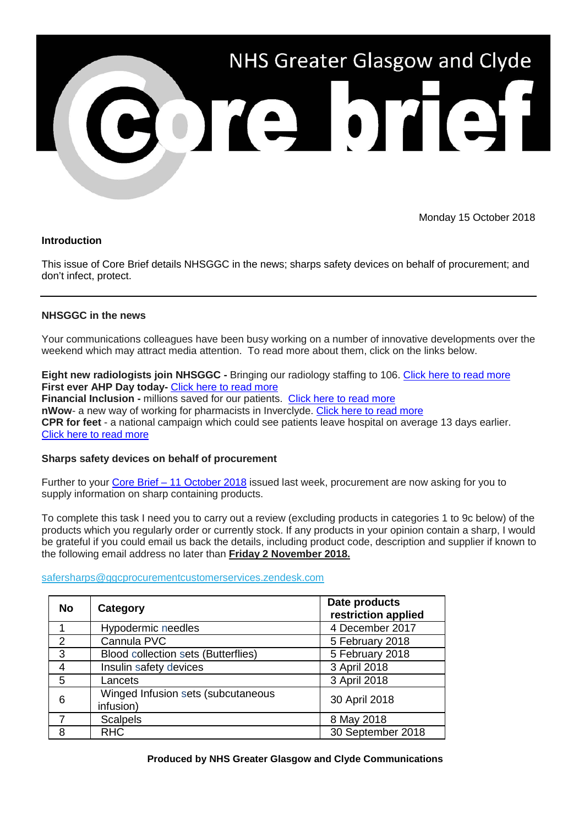

Monday 15 October 2018

## **Introduction**

This issue of Core Brief details NHSGGC in the news; sharps safety devices on behalf of procurement; and don't infect, protect.

# **NHSGGC in the news**

Your communications colleagues have been busy working on a number of innovative developments over the weekend which may attract media attention. To read more about them, click on the links below.

**Eight new radiologists join NHSGGC -** Bringing our radiology staffing to 106. [Click here to read more](http://www.nhsggc.org.uk/about-us/media-centre/news/2018/10/new-radiologists/?utm_source=Core%20Brief&utm_medium=email&utm_campaign=Core_Brief_New_Radiologists) **First ever AHP Day today-** [Click here to read more](http://www.nhsggc.org.uk/about-us/media-centre/news/2018/10/ahp-day/?utm_source=Core%20Brief&utm_medium=email&utm_campaign=Core_Brief_AHP_day) **Financial Inclusion -** millions saved for our patients. [Click here to read more](http://www.nhsggc.org.uk/about-us/media-centre/news/2018/10/money-advice/?utm_source=Core%20Brief&utm_medium=email&utm_campaign=Core_Brief_Financial_Inclusion) **nWow**- a new way of working for pharmacists in Inverclyde. [Click here to read more](http://www.nhsggc.org.uk/about-us/media-centre/news/2018/10/pharmacotherapy/?utm_source=Core%20Brief&utm_medium=email&utm_campaign=Core_Brief_nWoW) **CPR for feet** - a national campaign which could see patients leave hospital on average 13 days earlier. [Click here to read more](http://www.nhsggc.org.uk/about-us/media-centre/news/2018/10/cpr-for-feet/?utm_source=Core%20Brief&utm_medium=email&utm_campaign=Core_Brief_CPR_Feet)

## **Sharps safety devices on behalf of procurement**

Further to your Core Brief – [11 October 2018](http://www.nhsggc.org.uk/media/250843/108-core-brief-11-october-2018.pdf) issued last week, procurement are now asking for you to supply information on sharp containing products.

To complete this task I need you to carry out a review (excluding products in categories 1 to 9c below) of the products which you regularly order or currently stock. If any products in your opinion contain a sharp, I would be grateful if you could email us back the details, including product code, description and supplier if known to the following email address no later than **Friday 2 November 2018.**

## [safersharps@ggcprocurementcustomerservices.zendesk.com](mailto:safersharps@ggcprocurementcustomerservices.zendesk.com)

| <b>No</b>      | Category                                        | Date products<br>restriction applied |
|----------------|-------------------------------------------------|--------------------------------------|
|                | Hypodermic needles                              | 4 December 2017                      |
| $\overline{2}$ | Cannula PVC                                     | 5 February 2018                      |
| 3              | Blood collection sets (Butterflies)             | 5 February 2018                      |
| $\overline{4}$ | Insulin safety devices                          | 3 April 2018                         |
| 5              | Lancets                                         | 3 April 2018                         |
| 6              | Winged Infusion sets (subcutaneous<br>infusion) | 30 April 2018                        |
|                | <b>Scalpels</b>                                 | 8 May 2018                           |
| 8              | <b>RHC</b>                                      | 30 September 2018                    |

## **Produced by NHS Greater Glasgow and Clyde Communications**